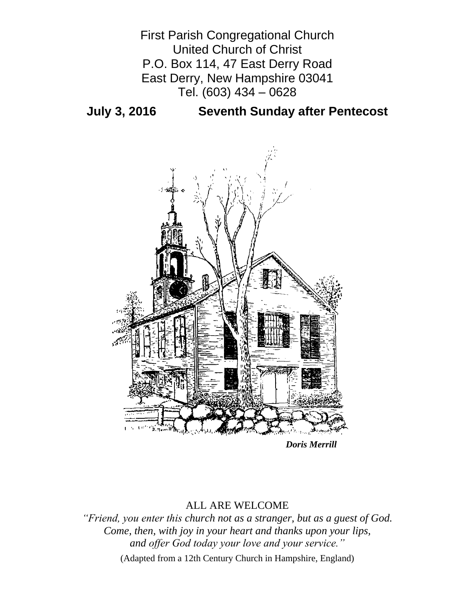

**July 3, 2016 Seventh Sunday after Pentecost**



*Doris Merrill*

# ALL ARE WELCOME

*"Friend, you enter this church not as a stranger, but as a guest of God. Come, then, with joy in your heart and thanks upon your lips, and offer God today your love and your service."*

(Adapted from a 12th Century Church in Hampshire, England)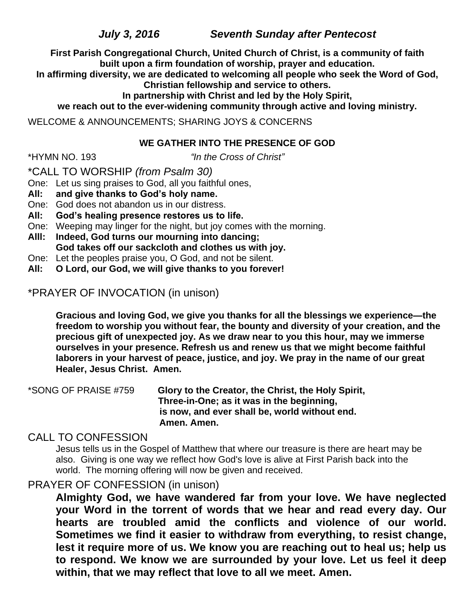*July 3, 2016 Seventh Sunday after Pentecost*

**First Parish Congregational Church, United Church of Christ, is a community of faith built upon a firm foundation of worship, prayer and education.**

**In affirming diversity, we are dedicated to welcoming all people who seek the Word of God, Christian fellowship and service to others.**

**In partnership with Christ and led by the Holy Spirit,**

**we reach out to the ever-widening community through active and loving ministry.**

WELCOME & ANNOUNCEMENTS; SHARING JOYS & CONCERNS

### **WE GATHER INTO THE PRESENCE OF GOD**

\*HYMN NO. 193 *"In the Cross of Christ"*

\*CALL TO WORSHIP *(from Psalm 30)*

One: Let us sing praises to God, all you faithful ones,

- **All: and give thanks to God's holy name.**
- One: God does not abandon us in our distress.
- **All: God's healing presence restores us to life.**
- One: Weeping may linger for the night, but joy comes with the morning.
- **Alll: Indeed, God turns our mourning into dancing; God takes off our sackcloth and clothes us with joy.**
- One: Let the peoples praise you, O God, and not be silent.
- **All: O Lord, our God, we will give thanks to you forever!**

# \*PRAYER OF INVOCATION (in unison)

**Gracious and loving God, we give you thanks for all the blessings we experience—the freedom to worship you without fear, the bounty and diversity of your creation, and the precious gift of unexpected joy. As we draw near to you this hour, may we immerse ourselves in your presence. Refresh us and renew us that we might become faithful laborers in your harvest of peace, justice, and joy. We pray in the name of our great Healer, Jesus Christ. Amen.**

\*SONG OF PRAISE #759 **Glory to the Creator, the Christ, the Holy Spirit, Three-in-One; as it was in the beginning, is now, and ever shall be, world without end. Amen. Amen.**

## CALL TO CONFESSION

Jesus tells us in the Gospel of Matthew that where our treasure is there are heart may be also. Giving is one way we reflect how God's love is alive at First Parish back into the world. The morning offering will now be given and received.

## PRAYER OF CONFESSION (in unison)

**Almighty God, we have wandered far from your love. We have neglected your Word in the torrent of words that we hear and read every day. Our hearts are troubled amid the conflicts and violence of our world. Sometimes we find it easier to withdraw from everything, to resist change, lest it require more of us. We know you are reaching out to heal us; help us to respond. We know we are surrounded by your love. Let us feel it deep within, that we may reflect that love to all we meet. Amen.**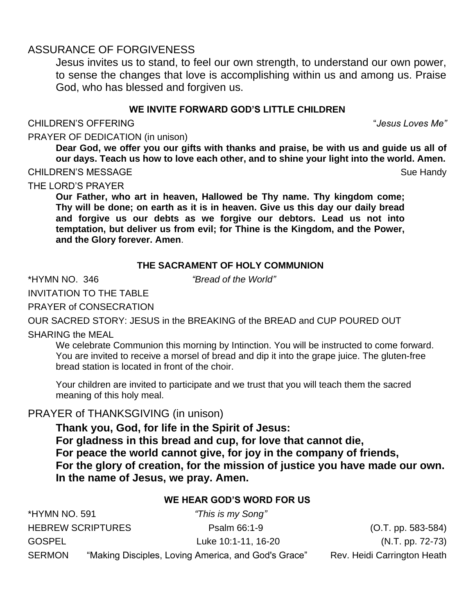# ASSURANCE OF FORGIVENESS

Jesus invites us to stand, to feel our own strength, to understand our own power, to sense the changes that love is accomplishing within us and among us. Praise God, who has blessed and forgiven us.

## **WE INVITE FORWARD GOD'S LITTLE CHILDREN**

#### CHILDREN'S OFFERING "*Jesus Loves Me"*

#### PRAYER OF DEDICATION (in unison)

**Dear God, we offer you our gifts with thanks and praise, be with us and guide us all of our days. Teach us how to love each other, and to shine your light into the world. Amen.**

#### CHILDREN'S MESSAGE Sue Handy Sue Handy

## THE LORD'S PRAYER

**Our Father, who art in heaven, Hallowed be Thy name. Thy kingdom come; Thy will be done; on earth as it is in heaven. Give us this day our daily bread and forgive us our debts as we forgive our debtors. Lead us not into temptation, but deliver us from evil; for Thine is the Kingdom, and the Power, and the Glory forever. Amen**.

## **THE SACRAMENT OF HOLY COMMUNION**

\*HYMN NO. 346 *"Bread of the World"*

INVITATION TO THE TABLE

PRAYER of CONSECRATION

OUR SACRED STORY: JESUS in the BREAKING of the BREAD and CUP POURED OUT

## SHARING the MEAL

We celebrate Communion this morning by Intinction. You will be instructed to come forward. You are invited to receive a morsel of bread and dip it into the grape juice. The gluten-free bread station is located in front of the choir.

Your children are invited to participate and we trust that you will teach them the sacred meaning of this holy meal.

# PRAYER of THANKSGIVING (in unison)

**Thank you, God, for life in the Spirit of Jesus: For gladness in this bread and cup, for love that cannot die, For peace the world cannot give, for joy in the company of friends, For the glory of creation, for the mission of justice you have made our own. In the name of Jesus, we pray. Amen.**

## **WE HEAR GOD'S WORD FOR US**

| *HYMN NO. 591            |  | "This is my Song"                                   |                             |
|--------------------------|--|-----------------------------------------------------|-----------------------------|
| <b>HEBREW SCRIPTURES</b> |  | Psalm 66:1-9                                        | $(O.T. pp. 583-584)$        |
| <b>GOSPEL</b>            |  | Luke 10:1-11, 16-20                                 | (N.T. pp. 72-73)            |
| <b>SERMON</b>            |  | "Making Disciples, Loving America, and God's Grace" | Rev. Heidi Carrington Heath |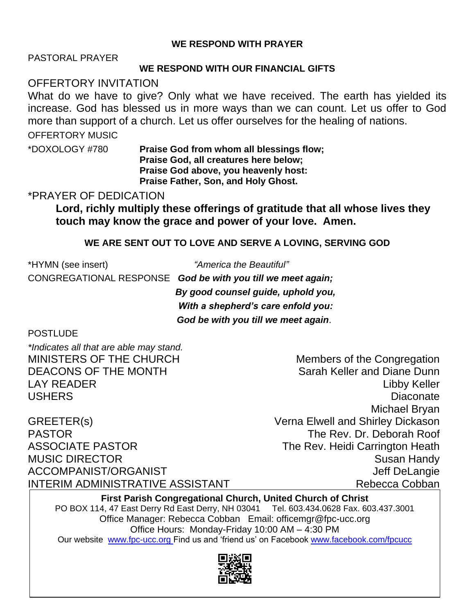## **WE RESPOND WITH PRAYER**

PASTORAL PRAYER

#### **WE RESPOND WITH OUR FINANCIAL GIFTS**

OFFERTORY INVITATION

What do we have to give? Only what we have received. The earth has yielded its increase. God has blessed us in more ways than we can count. Let us offer to God more than support of a church. Let us offer ourselves for the healing of nations.

OFFERTORY MUSIC

\*DOXOLOGY #780 **Praise God from whom all blessings flow; Praise God, all creatures here below; Praise God above, you heavenly host: Praise Father, Son, and Holy Ghost.**

\*PRAYER OF DEDICATION

**Lord, richly multiply these offerings of gratitude that all whose lives they touch may know the grace and power of your love. Amen.**

## **WE ARE SENT OUT TO LOVE AND SERVE A LOVING, SERVING GOD**

\*HYMN (see insert) *"America the Beautiful"* CONGREGATIONAL RESPONSE *God be with you till we meet again; By good counsel guide, uphold you, With a shepherd's care enfold you: God be with you till we meet again*.

## **POSTLUDE**

*\*Indicates all that are able may stand.*

GREETER(s) Verna Elwell and Shirley Dickason PASTOR The Rev. Dr. Deborah Roof ASSOCIATE PASTOR The Rev. Heidi Carrington Heath MUSIC DIRECTOR **Susan Handy** Susan Handy ACCOMPANIST/ORGANIST ACCOMPANIST/ORGANIST INTERIM ADMINISTRATIVE ASSISTANT NEWSLEY ARE Rebecca Cobban

MINISTERS OF THE CHURCH Members of the Congregation DEACONS OF THE MONTH Sarah Keller and Diane Dunn LAY READER Libby Keller USHERS Diaconate Michael Bryan

**First Parish Congregational Church, United Church of Christ** PO BOX 114, 47 East Derry Rd East Derry, NH 03041 Tel. 603.434.0628 Fax. 603.437.3001 Office Manager: Rebecca Cobban Email: officemgr@fpc-ucc.org Office Hours: Monday-Friday 10:00 AM – 4:30 PM Our website [www.fpc-ucc.org](http://www.fpc-ucc.org/) Find us and 'friend us' on Facebook [www.facebook.com/fpcucc](http://www.facebook.com/fpcucc)